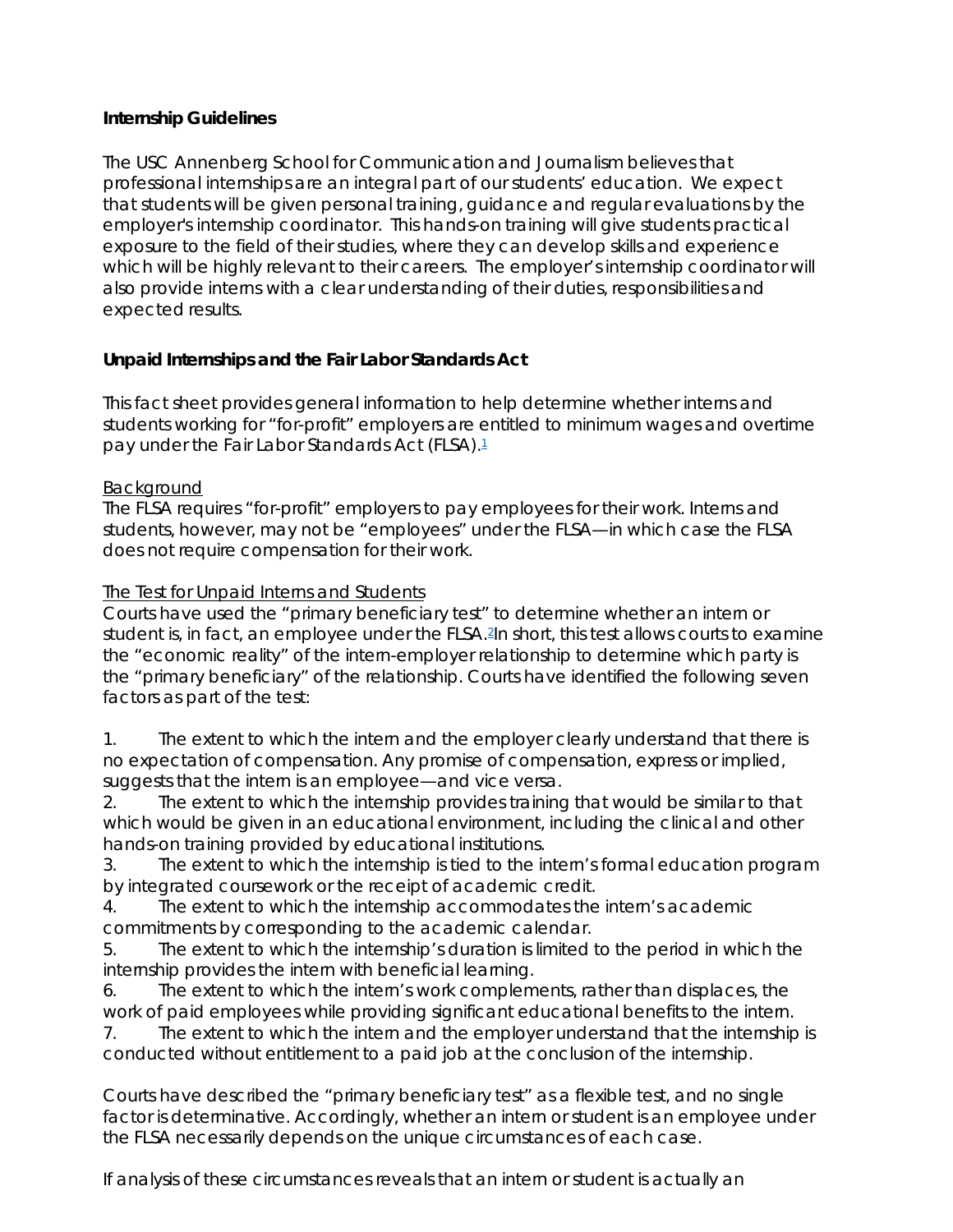### **Internship Guidelines**

The USC Annenberg School for Communication and Journalism believes that professional internships are an integral part of our students' education. We expect that students will be given personal training, guidance and regular evaluations by the employer's internship coordinator. This hands-on training will give students practical exposure to the field of their studies, where they can develop skills and experience which will be highly relevant to their careers. The employer's internship coordinator will also provide interns with a clear understanding of their duties, responsibilities and expected results.

# **Unpaid Internships and the Fair Labor Standards Act**

This fact sheet provides general information to help determine whether interns and students working for "for-profit" employers are entitled to minimum wages and overtime pay under the Fair Labor Standards Act (FLSA)[.1](https://www.dol.gov/whd/regs/compliance/whdfs71.htm%231)

# Background

The FLSA requires "for-profit" employers to pay employees for their work. Interns and students, however, may not be "employees" under the FLSA—in which case the FLSA does not require compensation for their work.

# The Test for Unpaid Interns and Students

Courts have used the "primary beneficiary test" to determine whether an intern or student is, in fact, an employee under the FLSA.<sup>2</sup>In short, this test allows courts to examine the "economic reality" of the intern-employer relationship to determine which party is the "primary beneficiary" of the relationship. Courts have identified the following seven factors as part of the test:

1. The extent to which the intern and the employer clearly understand that there is no expectation of compensation. Any promise of compensation, express or implied, suggests that the intern is an employee—and vice versa.

2. The extent to which the internship provides training that would be similar to that which would be given in an educational environment, including the clinical and other hands-on training provided by educational institutions.

3. The extent to which the internship is tied to the intern's formal education program by integrated coursework or the receipt of academic credit.

4. The extent to which the internship accommodates the intern's academic commitments by corresponding to the academic calendar.

5. The extent to which the internship's duration is limited to the period in which the internship provides the intern with beneficial learning.

6. The extent to which the intern's work complements, rather than displaces, the work of paid employees while providing significant educational benefits to the intern.

7. The extent to which the intern and the employer understand that the internship is conducted without entitlement to a paid job at the conclusion of the internship.

Courts have described the "primary beneficiary test" as a flexible test, and no single factor is determinative. Accordingly, whether an intern or student is an employee under the FLSA necessarily depends on the unique circumstances of each case.

If analysis of these circumstances reveals that an intern or student is actually an